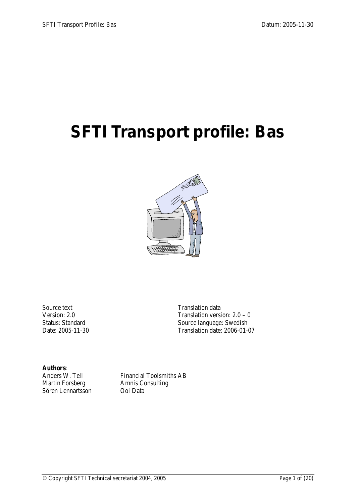# <span id="page-0-0"></span>**SFTI Transport profile: Bas**



Source text<br>Version: 2.0

Translation version:  $2.0 - 0$ Translation data Status: Standard Source language: Swedish<br>Date: 2005-11-30 Translation date: 2006-01-Translation date: 2006-01-07

**Authors**: Sören Lennartsson Ooi Data

Anders W. Tell Financial Toolsmiths AB<br>Martin Forsberg Amnis Consulting Amnis Consulting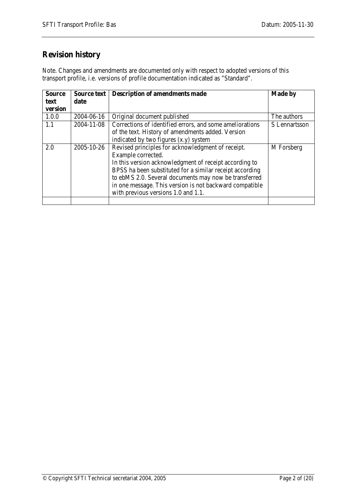## **Revision history**

Note. Changes and amendments are documented only with respect to adopted versions of this transport profile, i.e. versions of profile documentation indicated as "Standard".

| <b>Source</b> | Source text | <b>Description of amendments made</b>                    | <b>Made by</b> |
|---------------|-------------|----------------------------------------------------------|----------------|
| text          | date        |                                                          |                |
| version       |             |                                                          |                |
| 1.0.0         | 2004-06-16  | Original document published                              | The authors    |
| 1.1           | 2004-11-08  | Corrections of identified errors, and some ameliorations | S Lennartsson  |
|               |             | of the text. History of amendments added. Version        |                |
|               |             | indicated by two figures (x,y) system                    |                |
| 2.0           | 2005-10-26  | Revised principles for acknowledgment of receipt.        | M Forsberg     |
|               |             | Example corrected.                                       |                |
|               |             | In this version acknowledgment of receipt according to   |                |
|               |             | BPSS ha been substituted for a similar receipt according |                |
|               |             | to ebMS 2.0. Several documents may now be transferred    |                |
|               |             | in one message. This version is not backward compatible  |                |
|               |             | with previous versions 1.0 and 1.1.                      |                |
|               |             |                                                          |                |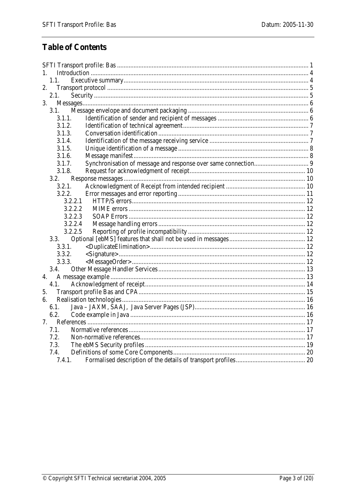## **Table of Contents**

| 1.             |  |  |  |  |  |
|----------------|--|--|--|--|--|
| 1.1.           |  |  |  |  |  |
| 2.             |  |  |  |  |  |
| 2.1.           |  |  |  |  |  |
| 3.             |  |  |  |  |  |
| 3.1.           |  |  |  |  |  |
| 3.1.1.         |  |  |  |  |  |
| 3.1.2.         |  |  |  |  |  |
| 3.1.3.         |  |  |  |  |  |
| 3.1.4.         |  |  |  |  |  |
| 3.1.5.         |  |  |  |  |  |
| 3.1.6.         |  |  |  |  |  |
| 3.1.7.         |  |  |  |  |  |
| 3.1.8.         |  |  |  |  |  |
| 3.2.           |  |  |  |  |  |
| 3.2.1.         |  |  |  |  |  |
| 3.2.2.         |  |  |  |  |  |
| 3.2.2.1        |  |  |  |  |  |
| 3.2.2.2        |  |  |  |  |  |
| 3.2.2.3        |  |  |  |  |  |
| 3.2.2.4        |  |  |  |  |  |
| 3.2.2.5        |  |  |  |  |  |
| 3.3.           |  |  |  |  |  |
| 3.3.1.         |  |  |  |  |  |
| 3.3.2.         |  |  |  |  |  |
| 3.3.3.         |  |  |  |  |  |
| 3.4.           |  |  |  |  |  |
| 4.             |  |  |  |  |  |
| 4.1.           |  |  |  |  |  |
| 5.             |  |  |  |  |  |
| б.             |  |  |  |  |  |
| 6.1.           |  |  |  |  |  |
| 6.2.           |  |  |  |  |  |
| 7 <sub>1</sub> |  |  |  |  |  |
| 7.1.           |  |  |  |  |  |
| 7.2.           |  |  |  |  |  |
| 7.3.           |  |  |  |  |  |
| 7.4.           |  |  |  |  |  |
| 7.4.1.         |  |  |  |  |  |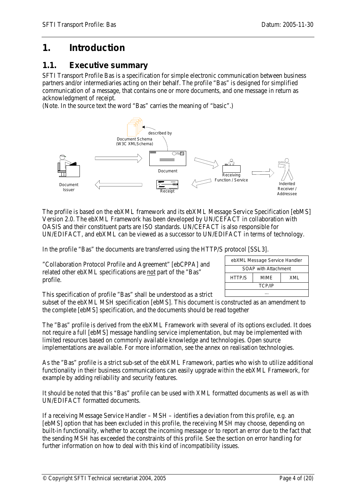## <span id="page-3-0"></span>**1. Introduction**

## <span id="page-3-1"></span>*1.1. Executive summary*

SFTI Transport Profile Bas is a specification for simple electronic communication between business partners and/or intermediaries acting on their behalf. The profile "Bas" is designed for simplified communication of a message, that contains one or more documents, and one message in return as acknowledgment of receipt.

(Note. In the source text the word "Bas" carries the meaning of "basic".)



The profile is based on the ebXML framework and its ebXML Message Service Specification [ebMS] Version 2.0. The ebXML Framework has been developed by UN/CEFACT in collaboration with OASIS and their constituent parts are ISO standards. UN/CEFACT is also responsible for UN/EDIFACT, and ebXML can be viewed as a successor to UN/EDIFACT in terms of technology.

In the profile "Bas" the documents are transferred using the HTTP/S protocol [SSL3].

"Collaboration Protocol Profile and Agreement" [ebCPPA] and related other ebXML specifications are not part of the "Bas" profile.

| ebXML Message Service Handler |      |     |  |  |  |  |  |
|-------------------------------|------|-----|--|--|--|--|--|
| SOAP with Attachment          |      |     |  |  |  |  |  |
| HTTP/S                        | MIME | XMI |  |  |  |  |  |
| <b>TCP/IP</b>                 |      |     |  |  |  |  |  |
|                               |      |     |  |  |  |  |  |

This specification of profile "Bas" shall be understood as a strict

subset of the ebXML MSH specification [ebMS]. This document is constructed as an amendment to the complete [ebMS] specification, and the documents should be read together

The "Bas" profile is derived from the ebXML Framework with several of its options excluded. It does not require a full [ebMS] message handling service implementation, but may be implemented with limited resources based on commonly available knowledge and technologies. Open source implementations are available. For more information, see the annex on realisation technologies.

As the "Bas" profile is a strict sub-set of the ebXML Framework, parties who wish to utilize additional functionality in their business communications can easily upgrade *within* the ebXML Framework, for example by adding reliability and security features.

It should be noted that this "Bas" profile can be used with XML formatted documents as well as with UN/EDIFACT formatted documents.

If a receiving Message Service Handler – MSH – identifies a deviation from this profile, e.g. an [ebMS] option that has been excluded in this profile, the receiving MSH may choose, depending on built-in functionality, whether to accept the incoming message or to report an error due to the fact that the sending MSH has exceeded the constraints of this profile. See the section on error handling for further information on how to deal with this kind of incompatibility issues.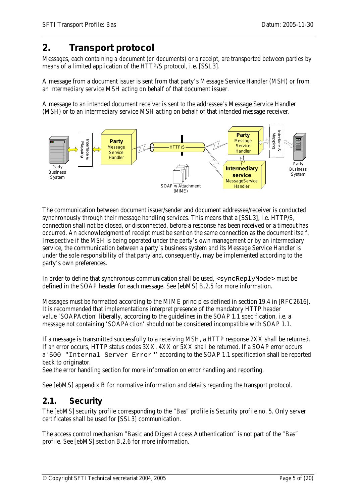## <span id="page-4-0"></span>**2. Transport protocol**

Messages, each containing *a document (or documents)* or a *receipt,* are transported between parties by means of a limited application of the HTTP/S protocol, i.e. [SSL3].

A message from a document issuer is sent from that party's Message Service Handler (MSH) or from an intermediary service MSH acting on behalf of that document issuer.

A message to an intended document receiver is sent to the addressee's Message Service Handler (MSH) or to an intermediary service MSH acting on behalf of that intended message receiver.



The communication between document issuer/sender and document addressee/receiver is conducted synchronously through their message handling services. This means that a [SSL3], i.e. HTTP/S, connection shall not be closed, or disconnected, before a response has been received or a timeout has occurred. An acknowledgment of receipt must be sent on the same connection as the document itself. Irrespective if the MSH is being operated under the party's own management or by an intermediary service, the communication between a party's business system and its Message Service Handler is under the sole responsibility of that party and, consequently, may be implemented according to the party's own preferences.

In order to define that synchronous communication shall be used,  $\langle$ syncReplyMode $\rangle$  must be defined in the SOAP header for each message. See [ebMS] B.2.5 for more information.

Messages must be formatted according to the MIME principles defined in section 19.4 in [RFC2616]. It is recommended that implementations interpret presence of the mandatory HTTP header value 'SOAPAction' liberally, according to the guidelines in the SOAP 1.1 specification, i.e. a message not containing 'SOAPAction' should not be considered incompatible with SOAP 1.1.

If a message is transmitted successfully to a receiving MSH, a HTTP response 2XX shall be returned. If an error occurs, HTTP status codes 3XX, 4XX or 5XX shall be returned. If a SOAP error occurs a '500 "Internal Server Error"' according to the SOAP 1.1 specification shall be reported back to originator.

See the error handling section for more information on error handling and reporting.

<span id="page-4-1"></span>See [ebMS] appendix B for normative information and details regarding the transport protocol.

#### *2.1. Security*

The [ebMS] security profile corresponding to the "Bas" profile is Security profile no. 5. Only server certificates shall be used for [SSL3] communication.

The access control mechanism "Basic and Digest Access Authentication" is not part of the "Bas" profile. See [ebMS] section B.2.6 for more information.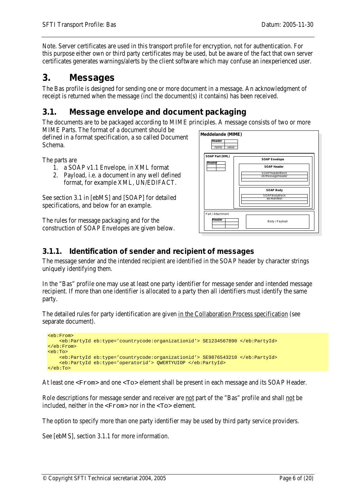Note. Server certificates are used in this transport profile for encryption, not for authentication. For this purpose either own or third party certificates may be used, but be aware of the fact that own server certificates generates warnings/alerts by the client software which may confuse an inexperienced user.

## <span id="page-5-0"></span>**3. Messages**

The Bas profile is designed for sending one or more document in a message. An acknowledgment of receipt is returned when the message (incl the document(s) it contains) has been received.

## <span id="page-5-1"></span>*3.1. Message envelope and document packaging*

The documents are to be packaged according to MIME principles. A message consists of two or more

MIME Parts. The format of a document should be defined in a format specification, a so called Document Schema.

The parts are

- 1. a SOAP v1.1 Envelope, in XML format
- 2. Payload, i.e. a document in any well defined format, for example XML, UN/EDIFACT.

See section 3.1 in [ebMS] and [SOAP] for detailed specifications, and below for an example.

The rules for message packaging and for the construction of SOAP Envelopes are given below.



#### <span id="page-5-2"></span>**3.1.1. Identification of sender and recipient of messages**

The message sender and the intended recipient are identified in the SOAP header by character strings uniquely identifying them.

In the "Bas" profile one may use at least one party identifier for message sender and intended message recipient. If more than one identifier is allocated to a party then all identifiers must identify the same party.

The detailed rules for party identification are given in the Collaboration Process specification (see separate document).

```
<eb:From> 
     <eb:PartyId eb:type='countrycode:organizationid'> SE1234567890 </eb:PartyId> 
</eb:From> 
<eb:To> 
     <eb:PartyId eb:type='countrycode:organizationid'> SE9876543210 </eb:PartyId> 
     <eb:PartyId eb:type='operatorid'> QWERTYUIOP </eb:PartyId> 
\epsilon/eb:To>
```
At least one <From> and one <To> element shall be present in each message and its SOAP Header.

Role descriptions for message sender and receiver are not part of the "Bas" profile and shall not be included, neither in the <From> nor in the <To> element.

The option to specify more than one party identifier may be used by third party service providers.

See [ebMS], section 3.1.1 for more information.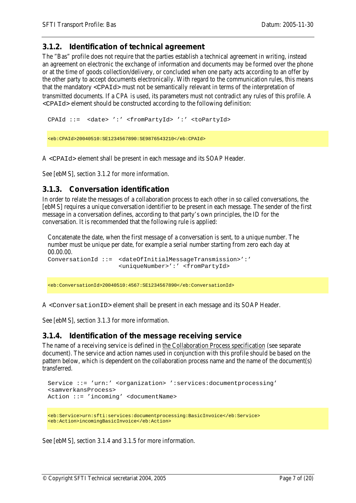#### <span id="page-6-0"></span>**3.1.2. Identification of technical agreement**

The "Bas" profile does not require that the parties establish a technical agreement in writing, instead an agreement on electronic the exchange of information and documents may be formed over the phone or at the time of goods collection/delivery, or concluded when one party acts according to an offer by the other party to accept documents electronically. With regard to the communication rules, this means that the mandatory <CPAId> must not be semantically relevant in terms of the interpretation of transmitted documents. If a CPA is used, its parameters must not contradict any rules of this profile. A <CPAId> element should be constructed according to the following definition:

```
CPAId ::= <date> ':' <fromPartyId> ':' <toPartyId>
```

```
<eb:CPAId>20040510:SE1234567890:SE9876543210</eb:CPAId>
```
A <CPAId> element shall be present in each message and its SOAP Header.

<span id="page-6-1"></span>See [ebMS], section 3.1.2 for more information.

#### **3.1.3. Conversation identification**

In order to relate the messages of a collaboration process to each other in so called conversations, the [ebMS] requires a unique conversation identifier to be present in each message. The sender of the first message in a conversation defines, according to that party's own principles, the ID for the conversation. It is recommended that the following rule is applied:

Concatenate the date, when the first message of a conversation is sent, to a unique number. The number must be unique per date, for example a serial number starting from zero each day at 00.00.00. ConversationId ::= <dateOfInitialMessageTransmission>':' <uniqueNumber>':' <fromPartyId>

<eb:ConversationId>20040510:4567:SE1234567890</eb:ConversationId>

A <ConversationID> element shall be present in each message and its SOAP Header.

<span id="page-6-2"></span>See [ebMS], section 3.1.3 for more information.

#### **3.1.4. Identification of the message receiving service**

The name of a receiving service is defined in the Collaboration Process specification (see separate document). The service and action names used in conjunction with this profile should be based on the pattern below, which is dependent on the collaboration process name and the name of the document(s) transferred.

```
Service ::= 'urn:' <organization> ':services:documentprocessing' 
<samverkansProcess>
Action ::= 'incoming' <documentName>
```

```
<eb:Service>urn:sfti:services:documentprocessing:BasicInvoice</eb:Service> 
<eb:Action>incomingBasicInvoice</eb:Action>
```
See [ebMS], section 3.1.4 and 3.1.5 for more information.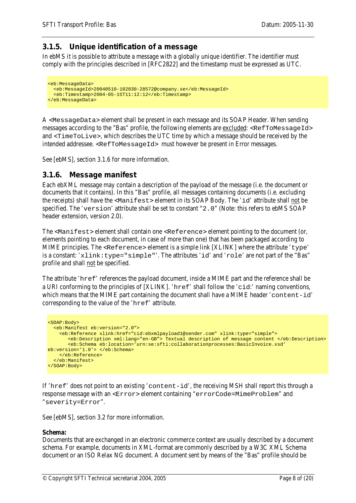#### <span id="page-7-0"></span>**3.1.5. Unique identification of a message**

In ebMS it is possible to attribute a message with a globally unique identifier. The identifier must comply with the principles described in [RFC2822] and the timestamp must be expressed as UTC.

```
<eb:MessageData> 
   <eb:MessageId>20040510-102030-28572@company.se</eb:MessageId> 
   <eb:Timestamp>2004-05-15T11:12:12</eb:Timestamp> 
</eb:MessageData>
```
A <MessageData> element shall be present in each message and its SOAP Header. When sending messages according to the "Bas" profile, the following elements are excluded: <RefToMessageId> and <TimeToLive>, which describes the UTC time by which a message should be received by the intended addressee. <RefToMessageId> must however be present in Error messages.

<span id="page-7-1"></span>See [ebMS], section 3.1.6 for more information.

#### **3.1.6. Message manifest**

Each ebXML message may contain a description of the payload of the message (i.e. the document or documents that it contains). In this "Bas" profile, all messages containing documents (i.e. excluding the receipts) shall have the <Manifest> element in its SOAP Body. The 'id' attribute shall not be specified. The 'version' attribute shall be set to constant "2.0" (Note: this refers to ebMS SOAP header extension, version 2.0).

The <Manifest> element shall contain one <Reference> element pointing to the document (or, elements pointing to each document, in case of more than one) that has been packaged according to MIME principles. The <Reference> element is a simple link [XLINK] where the attribute 'type' is a constant: 'xlink:type="simple"'. The attributes 'id' and 'role' are not part of the "Bas" profile and shall not be specified.

The attribute 'href' references the payload document, inside a MIME part and the reference shall be a URI conforming to the principles of [XLINK]. 'href' shall follow the 'cid:' naming conventions, which means that the MIME part containing the document shall have a MIME header 'content-id' corresponding to the value of the 'href' attribute.

```
<SOAP:Body> 
   <eb:Manifest eb:version="2.0"> 
     <eb:Reference xlink:href="cid:ebxmlpayload1@sender.com" xlink:type="simple"> 
        <eb:Description xml:lang="en-GB"> Textual description of message content </eb:Description>
        <eb:Schema eb:location='urn:se:sfti:collaborationprocesses:BasicInvoice.xsd' 
eb:version='1.0'> </eb:Schema>
     </eb:Reference> 
   </eb:Manifest>
</SOAP:Body>
```
If 'href' does not point to an existing 'content-id', the receiving MSH shall report this through a response message with an <Error> element containing "errorCode=MimeProblem" and "severity=Error".

See [ebMS], section 3.2 for more information.

#### **Schema:**

Documents that are exchanged in an electronic commerce context are usually described by a document schema. For example, documents in XML-format are commonly described by a W3C XML Schema document or an ISO Relax NG document. A document sent by means of the "Bas" profile should be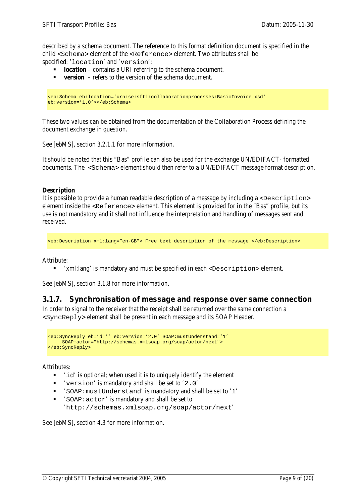described by a schema document. The reference to this format definition document is specified in the child <Schema> element of the <Reference> element. Two attributes shall be specified: 'location' and 'version':

- **location** contains a URI referring to the schema document.
- **version** refers to the version of the schema document.

```
<eb:Schema eb:location='urn:se:sfti:collaborationprocesses:BasicInvoice.xsd' 
eb:version='1.0'></eb:Schema>
```
These two values can be obtained from the documentation of the Collaboration Process defining the document exchange in question.

See [ebMS], section 3.2.1.1 for more information.

It should be noted that this "Bas" profile can also be used for the exchange UN/EDIFACT- formatted documents. The <Schema> element should then refer to a UN/EDIFACT message format description.

#### **Description**

It is possible to provide a human readable description of a message by including a  $\leq$ Description $>$ element inside the <Reference> element. This element is provided for in the "Bas" profile, but its use is not mandatory and it shall not influence the interpretation and handling of messages sent and received.

```
<eb:Description xml:lang="en-GB"> Free text description of the message </eb:Description>
```
Attribute:

'xml:lang' is mandatory and must be specified in each <Description> element.

<span id="page-8-0"></span>See [ebMS], section 3.1.8 for more information.

#### **3.1.7. Synchronisation of message and response over same connection**

In order to signal to the receiver that the receipt shall be returned over the same connection a <SyncReply> element shall be present in each message and its SOAP Header.

```
<eb:SyncReply eb:id='' eb:version='2.0' SOAP:mustUnderstand='1'
     SOAP:actor="http://schemas.xmlsoap.org/soap/actor/next">
</eb:SyncReply>
```
Attributes:

- $\blacksquare$  'id' is optional; when used it is to uniquely identify the element
- 'version' is mandatory and shall be set to '2.0'
- 'SOAP:mustUnderstand' is mandatory and shall be set to '1'
- 'SOAP:actor' is mandatory and shall be set to 'http://schemas.xmlsoap.org/soap/actor/next'

See [ebMS], section 4.3 for more information.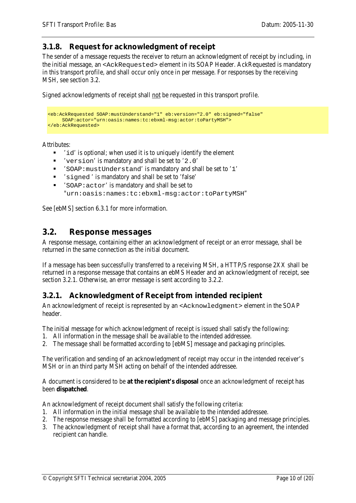#### <span id="page-9-0"></span>**3.1.8. Request for acknowledgment of receipt**

The sender of a message requests the receiver to return an acknowledgment of receipt by including, in the initial message, an <AckRequested> element in its SOAP Header. AckRequested is mandatory in this transport profile, and shall occur only once in per message. For responses by the receiving MSH, see section 3.2.

Signed acknowledgments of receipt shall not be requested in this transport profile.

```
<eb:AckRequested SOAP:mustUnderstand="1" eb:version="2.0" eb:signed="false" 
     SOAP:actor="urn:oasis:names:tc:ebxml-msg:actor:toPartyMSH">
</eb:AckRequested>
```
Attributes:

- 'id' is optional; when used it is to uniquely identify the element
- 'version' is mandatory and shall be set to '2.0'
- 'SOAP:mustUnderstand' is mandatory and shall be set to '1'
- 'signed ' is mandatory and shall be set to 'false'
- 'SOAP:actor' is mandatory and shall be set to "urn:oasis:names:tc:ebxml-msg:actor:toPartyMSH"

See [ebMS] section 6.3.1 for more information.

#### <span id="page-9-1"></span>*3.2. Response messages*

A response message, containing either an acknowledgment of receipt or an error message, shall be returned in the same connection as the initial document.

If a message has been successfully transferred to a receiving MSH, a HTTP/S response 2XX shall be returned in a response message that contains an ebMS Header and an acknowledgment of receipt, see section 3.2.1. Otherwise, an error message is sent according to 3.2.2.

#### <span id="page-9-2"></span>**3.2.1. Acknowledgment of Receipt from intended recipient**

An acknowledgment of receipt is represented by an <Acknowledgment> element in the SOAP header.

The initial message for which acknowledgment of receipt is issued shall satisfy the following:

- 1. All information in the message shall be available to the intended addressee.
- 2. The message shall be formatted according to [ebMS] message and packaging principles.

The verification and sending of an acknowledgment of receipt may occur in the intended receiver's MSH or in an third party MSH acting on behalf of the intended addressee.

A document is considered to be **at the recipient's disposal** once an acknowledgment of receipt has been **dispatched**.

An acknowledgment of receipt document shall satisfy the following criteria:

- 1. All information in the initial message shall be available to the intended addressee.
- 2. The response message shall be formatted according to [ebMS] packaging and message principles.
- 3. The acknowledgment of receipt shall have a format that, according to an agreement, the intended recipient can handle.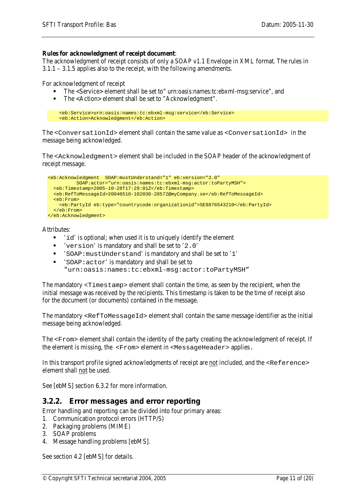#### **Rules for acknowledgment of receipt document**:

The acknowledgment of receipt consists of only a SOAP v1.1 Envelope in XML format. The rules in 3.1.1 – 3.1.5 applies also to the receipt, with the following amendments.

For acknowledgment of receipt

- The <Service> element shall be set to" urn:oasis:names:tc:ebxml-msg:service", and
- The <Action> element shall be set to "Acknowledgment".

```
 <eb:Service>urn:oasis:names:tc:ebxml-msg:service</eb:Service>
 <eb:Action>Acknowledgment</eb:Action>
```
The <ConversationId> element shall contain the same value as <ConversationId> in the message being acknowledged.

The <Acknowledgment> element shall be included in the SOAP header of the acknowledgment of receipt message.

```
<eb:Acknowledgment SOAP:mustUnderstand="1" eb:version="2.0"
           SOAP:actor="urn:oasis:names:tc:ebxml-msg:actor:toPartyMSH">
   <eb:Timestamp>2005-10-28T17:29:01Z</eb:Timestamp>
   <eb:RefToMessageId>20040510-102030-28572@myCompany.se</eb:RefToMessageId>
   <eb:From>
     <eb:PartyId eb:type="countrycode:organizationid">SE9876543210</eb:PartyId> 
   </eb:From>
</eb:Acknowledgment>
```
Attributes:

- 'id' is optional; when used it is to uniquely identify the element
- 'version' is mandatory and shall be set to '2.0'
- 'SOAP:mustUnderstand' is mandatory and shall be set to '1'
- 'SOAP:actor' is mandatory and shall be set to "urn:oasis:names:tc:ebxml-msg:actor:toPartyMSH"

The mandatory <Timestamp> element shall contain the time, as seen by the recipient, when the initial message was received by the recipients. This timestamp is taken to be the time of receipt also for the document (or documents) contained in the message.

The mandatory <RefToMessageId> element shall contain the same message identifier as the initial message being acknowledged.

The <From> element shall contain the identity of the party creating the acknowledgment of receipt. If the element is missing, the <From> element in <MessageHeader> applies.

In this transport profile signed acknowledgments of receipt are not included, and the <Reference> element shall not be used.

<span id="page-10-0"></span>See [ebMS] section 6.3.2 for more information.

#### **3.2.2. Error messages and error reporting**

Error handling and reporting can be divided into four primary areas:

- 1. Communication protocol errors (HTTP/S)
- 2. Packaging problems (MIME)
- 3. SOAP problems
- 4. Message handling problems [ebMS].

See section 4.2 [ebMS] for details.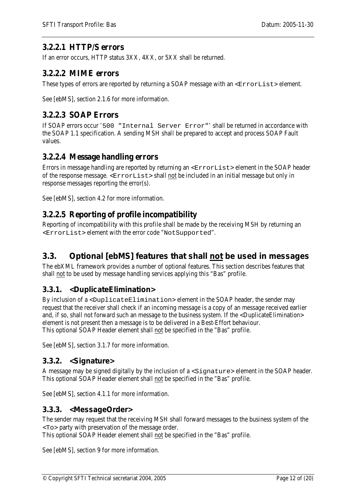#### <span id="page-11-0"></span>**3.2.2.1 HTTP/S errors**

If an error occurs, HTTP status 3XX, 4XX, or 5XX shall be returned.

#### <span id="page-11-1"></span>**3.2.2.2 MIME errors**

These types of errors are reported by returning a SOAP message with an  $\leq$ ErrorList > element.

<span id="page-11-2"></span>See [ebMS], section 2.1.6 for more information.

#### **3.2.2.3 SOAP Errors**

If SOAP errors occur '500 "Internal Server Error"' shall be returned in accordance with the SOAP 1.1 specification. A sending MSH shall be prepared to accept and process SOAP Fault values.

#### <span id="page-11-3"></span>**3.2.2.4 Message handling errors**

Errors in message handling are reported by returning an <ErrorList> element in the SOAP header of the response message. <ErrorList> shall not be included in an initial message but only in response messages reporting the error(s).

See [ebMS], section 4.2 for more information.

#### <span id="page-11-4"></span>**3.2.2.5 Reporting of profile incompatibility**

Reporting of incompatibility with this profile shall be made by the receiving MSH by returning an <ErrorList> element with the error code "NotSupported".

## <span id="page-11-5"></span>*3.3. Optional [ebMS] features that shall not be used in messages*

The ebXML framework provides a number of optional features. This section describes features that shall not to be used by message handling services applying this "Bas" profile.

#### <span id="page-11-6"></span>**3.3.1. <DuplicateElimination>**

By inclusion of a <DuplicateElimination> element in the SOAP header, the sender may request that the receiver shall check if an incoming message is a copy of an message received earlier and, if so, shall not forward such an message to the business system. If the <DuplicateElimination> element is not present then a message is to be delivered in a Best-Effort behaviour. This optional SOAP Header element shall not be specified in the "Bas" profile.

<span id="page-11-7"></span>See [ebMS], section 3.1.7 for more information.

#### **3.3.2. <Signature>**

A message may be signed digitally by the inclusion of a <Signature> element in the SOAP header. This optional SOAP Header element shall not be specified in the "Bas" profile.

<span id="page-11-8"></span>See [ebMS], section 4.1.1 for more information.

#### **3.3.3. <MessageOrder>**

The sender may request that the receiving MSH shall forward messages to the business system of the <To> party with preservation of the message order.

This optional SOAP Header element shall not be specified in the "Bas" profile.

See [ebMS], section 9 for more information.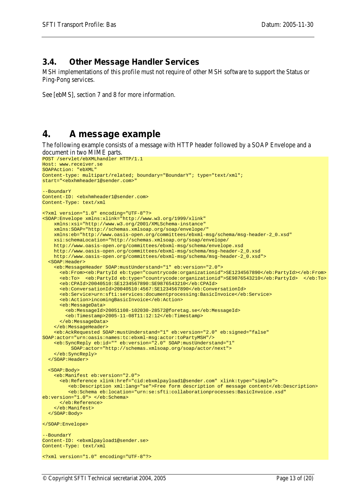#### <span id="page-12-0"></span>*3.4. Other Message Handler Services*

MSH implementations of this profile must not require of other MSH software to support the Status or Ping-Pong services.

See [ebMS], section 7 and 8 for more information.

## <span id="page-12-1"></span>**4. A message example**

The following example consists of a message with HTTP header followed by a SOAP Envelope and a document in two MIME parts.

```
POST /servlet/ebXMLhandler HTTP/1.1
Host: www.receiver.se
SOAPAction: "ebXML" 
Content-type: multipart/related; boundary="BoundarY"; type="text/xml"; 
start="<ebxhmheader1@sender.com>" 
--BoundarY 
Content-ID: <ebxhmheader1@sender.com> 
Content-Type: text/xml 
<?xml version="1.0" encoding="UTF-8"?> 
<SOAP:Envelope xmlns:xlink="http://www.w3.org/1999/xlink" 
     xmlns:xsi="http://www.w3.org/2001/XMLSchema-instance" 
     xmlns:SOAP="http://schemas.xmlsoap.org/soap/envelope/" 
     xmlns:eb="http://www.oasis-open.org/committees/ebxml-msg/schema/msg-header-2_0.xsd" 
     xsi:schemaLocation="http://schemas.xmlsoap.org/soap/envelope/ 
     http://www.oasis-open.org/committees/ebxml-msg/schema/envelope.xsd 
     http://www.oasis-open.org/committees/ebxml-msg/schema/msg-header-2_0.xsd 
     http://www.oasis-open.org/committees/ebxml-msg/schema/msg-header-2_0.xsd"> 
   <SOAP:Header> 
     <eb:MessageHeader SOAP:mustUnderstand="1" eb:version="2.0"> 
       <eb:From><eb:PartyId eb:type="countrycode:organizationid">SE1234567890</eb:PartyId></eb:From> 
       <eb:To> <eb:PartyId eb:type="countrycode:organizationid">SE9876543210</eb:PartyId> </eb:To> 
       <eb:CPAId>20040510:SE1234567890:SE9876543210</eb:CPAId> 
       <eb:ConversationId>20040510:4567:SE1234567890</eb:ConversationId> 
       <eb:Service>urn:sfti:services:documentprocessing:BasicInvoice</eb:Service> 
       <eb:Action>incomingBasicInvoice</eb:Action> 
       <eb:MessageData> 
         <eb:MessageId>20051108-102030-28572@foretag.se</eb:MessageId> 
         <eb:Timestamp>2005-11-08T11:12:12</eb:Timestamp> 
       </eb:MessageData> 
     </eb:MessageHeader>
     <eb:AckRequested SOAP:mustUnderstand="1" eb:version="2.0" eb:signed="false" 
SOAP:actor="urn:oasis:names:tc:ebxml-msg:actor:toPartyMSH"/>
     <eb:SyncReply eb:id="" eb:version="2.0" SOAP:mustUnderstand="1"
           SOAP:actor="http://schemas.xmlsoap.org/soap/actor/next">
     </eb:SyncReply>
  </SOAP:Header> 
   <SOAP:Body> 
     <eb:Manifest eb:version="2.0"> 
       <eb:Reference xlink:href="cid:ebxmlpayload1@sender.com" xlink:type="simple"> 
          <eb:Description xml:lang="se">Free form description of message content</eb:Description>
          <eb:Schema eb:location="urn:se:sfti:collaborationprocesses:BasicInvoice.xsd" 
eb:version="1.0"> </eb:Schema>
       </eb:Reference> 
     </eb:Manifest>
  </SOAP:Body> 
</SOAP:Envelope> 
--BoundarY 
Content-ID: <ebxmlpayload1@sender.se> 
Content-Type: text/xml 
<?xml version="1.0" encoding="UTF-8"?>
```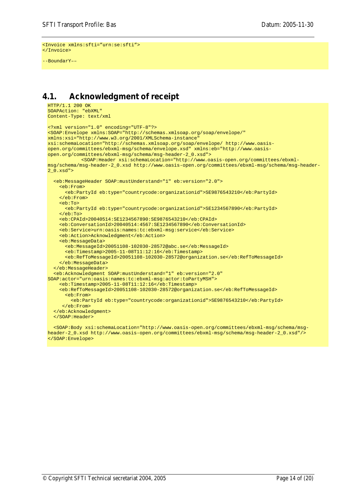```
<Invoice xmlns:sfti="urn:se:sfti">
</Invoice>
```
--BoundarY––

#### <span id="page-13-0"></span>*4.1. Acknowledgment of receipt*

```
HTTP/1.1 200 OK
SOAPAction: "ebXML"
Content-Type: text/xml
<?xml version="1.0" encoding="UTF-8"?>
<SOAP:Envelope xmlns:SOAP="http://schemas.xmlsoap.org/soap/envelope/" 
xmlns:xsi="http://www.w3.org/2001/XMLSchema-instance" 
xsi:schemaLocation="http://schemas.xmlsoap.org/soap/envelope/ http://www.oasis-
open.org/committees/ebxml-msg/schema/envelope.xsd" xmlns:eb="http://www.oasis-
open.org/committees/ebxml-msg/schema/msg-header-2_0.xsd">
           <SOAP:Header xsi:schemaLocation="http://www.oasis-open.org/committees/ebxml-
msg/schema/msg-header-2_0.xsd http://www.oasis-open.org/committees/ebxml-msg/schema/msg-header-
2_0.xsd">
   <eb:MessageHeader SOAP:mustUnderstand="1" eb:version="2.0">
     <eb:From>
       <eb:PartyId eb:type="countrycode:organizationid">SE9876543210</eb:PartyId>
     </eb:From>
     <eb:To>
       <eb:PartyId eb:type="countrycode:organizationid">SE1234567890</eb:PartyId>
     </eb:To>
     <eb:CPAId>20040514:SE1234567890:SE9876543210</eb:CPAId>
     <eb:ConversationId>20040514:4567:SE1234567890</eb:ConversationId>
     <eb:Service>urn:oasis:names:tc:ebxml-msg:service</eb:Service>
     <eb:Action>Acknowledgment</eb:Action>
     <eb:MessageData>
       <eb:MessageId>20051108-102030-28572@abc.se</eb:MessageId>
       <eb:Timestamp>2005-11-08T11:12:16</eb:Timestamp>
       <eb:RefToMessageId>20051108-102030-28572@organization.se</eb:RefToMessageId>
     </eb:MessageData>
   </eb:MessageHeader>
   <eb:Acknowledgment SOAP:mustUnderstand="1" eb:version="2.0" 
SOAP:actor="urn:oasis:names:tc:ebxml-msg:actor:toPartyMSH">
     <eb:Timestamp>2005-11-08T11:12:16</eb:Timestamp>
     <eb:RefToMessageId>20051108-102030-28572@organization.se</eb:RefToMessageId>
       <eb:From>
         <eb:PartyId eb:type="countrycode:organizationid">SE9876543210</eb:PartyId>
      </eb:From>
   </eb:Acknowledgment> 
   </SOAP:Header>
```
 <SOAP:Body xsi:schemaLocation="http://www.oasis-open.org/committees/ebxml-msg/schema/msgheader-2\_0.xsd http://www.oasis-open.org/committees/ebxml-msg/schema/msg-header-2\_0.xsd"/> </SOAP:Envelope>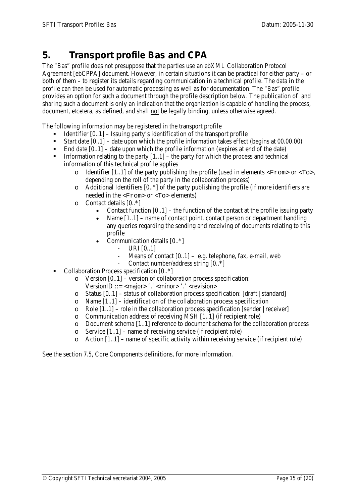## <span id="page-14-0"></span>**5. Transport profile Bas and CPA**

The "Bas" profile does not presuppose that the parties use an ebXML Collaboration Protocol Agreement [ebCPPA] document. However, in certain situations it can be practical for either party – or both of them – to register its details regarding communication in a technical profile. The data in the profile can then be used for automatic processing as well as for documentation. The "Bas" profile provides an option for such a document through the profile description below. The publication of and sharing such a document is only an indication that the organization is capable of handling the process, document, etcetera, as defined, and shall not be legally binding, unless otherwise agreed.

The following information may be registered in the transport profile

- Identifier  $[0,1]$  Issuing party's identification of the transport profile
- Start date [0..1] date upon which the profile information takes effect (begins at 00.00.00)
- End date  $[0..1]$  date upon which the profile information (expires at end of the date)
- Information relating to the party  $[1..1]$  the party for which the process and technical information of this technical profile applies
	- $\circ$  Identifier [1..1] of the party publishing the profile (used in elements  $\langle$ From $\rangle$  or  $\langle$ To $\rangle$ , depending on the roll of the party in the collaboration process)
	- o Additional Identifiers [0..\*] of the party publishing the profile (if more identifiers are needed in the <From> or <To> elements)
	- o Contact details [0..\*]
		- Contact function  $[0, 1]$  the function of the contact at the profile issuing party
		- Name  $[1..1]$  name of contact point, contact person or department handling any queries regarding the sending and receiving of documents relating to this profile
		- Communication details [0..\*]
			- $-$  URI  $[0..1]$
			- Means of contact  $[0..1]$  e.g. telephone, fax, e-mail, web
			- Contact number/address string [0..\*]
- Collaboration Process specification [0..\*]
	- $\circ$  Version [0..1] version of collaboration process specification:
		- $VersionID ::= < map'$ : ' $< minor$ ': ' $<$ revision>
	- o Status [0..1] status of collaboration process specification: [draft | standard]
	- o Name [1..1] identification of the collaboration process specification
	- $\circ$  Role [1..1] role in the collaboration process specification [sender | receiver]
	- o Communication address of receiving MSH [1..1] (if recipient role)
	- o Document schema  $[1..1]$  reference to document schema for the collaboration process o Service  $[1..1]$  name of receiving service (if recipient role)
	- o Service  $[1..1]$  name of receiving service (if recipient role)<br>o Action  $[1..1]$  name of specific activity within receiving ser
	- Action  $[1..1]$  name of specific activity within receiving service (if recipient role)

See the section 7.5, Core Components definitions, for more information.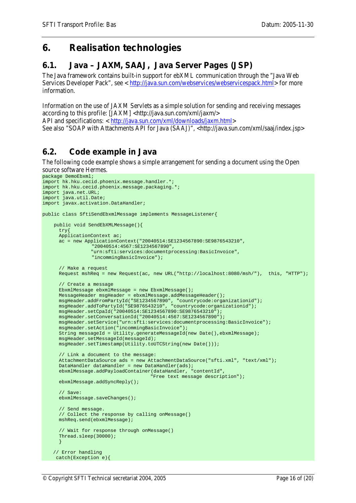## <span id="page-15-0"></span>**6. Realisation technologies**

## <span id="page-15-1"></span>*6.1. Java – JAXM, SAAJ, Java Server Pages (JSP)*

The Java framework contains built-in support for ebXML communication through the "Java Web Services Developer Pack", see < [http://java.sun.com/webservices/webservicespack.html>](http://java.sun.com/webservices/webservicespack.html) for more information.

Information on the use of JAXM Servlets as a simple solution for sending and receiving messages according to this profile: [JAXM] <http://java.sun.com/xml/jaxm/>

API and specifications: < [http://java.sun.com/xml/downloads/jaxm.html>](http://java.sun.com/xml/downloads/jaxm.html)

See also "SOAP with Attachments API for Java (SAAJ)", <http://java.sun.com/xml/saaj/index.jsp>

#### <span id="page-15-2"></span>*6.2. Code example in Java*

The following code example shows a simple arrangement for sending a document using the Open source software Hermes.

```
package DemoEbxml;
import hk.hku.cecid.phoenix.message.handler.*;
import hk.hku.cecid.phoenix.message.packaging.*;
import java.net.URL;
import java.util.Date;
import javax.activation.DataHandler;
public class SftiSendEbxmlMessage implements MessageListener{
     public void SendEbXMLMessage(){
       try{
       ApplicationContext ac;
       ac = new ApplicationContext("20040514:SE1234567890:SE9876543210",
                   "20040514:4567:SE1234567890",
                  "urn:sfti:services:documentprocessing:BasicInvoice", 
                   "incommingBasicInvoice");
       // Make a request
      Request mshReq = new Request(ac, new URL("http://localhost:8080/msh/"), this, "HTTP");
       // Create a message
       EbxmlMessage ebxmlMessage = new EbxmlMessage();
       MessageHeader msgHeader = ebxmlMessage.addMessageHeader();
     msgHeader.addFromPartyId("SE1234567890", "countrycode:organizationid");
     msgHeader.addToPartyId("SE9876543210", "countrycode:organizationid");
       msgHeader.setCpaId("20040514:SE1234567890:SE9876543210");
       msgHeader.setConversationId("20040514:4567:SE1234567890");
       msgHeader.setService("urn:sfti:services:documentprocessing:BasicInvoice");
       msgHeader.setAction("incommingBasicInvoice");
       String messageId = Utility.generateMessageId(new Date(),ebxmlMessage);
       msgHeader.setMessageId(messageId);
       msgHeader.setTimestamp(Utility.toUTCString(new Date()));
       // Link a document to the message:
       AttachmentDataSource ads = new AttachmentDataSource("sfti.xml", "text/xml");
       DataHandler dataHandler = new DataHandler(ads);
       ebxmlMessage.addPayloadContainer(dataHandler, "contentId", 
                                        "Free text message description");
       ebxmlMessage.addSyncReply();
       // Save:
      ebxmlMessage.saveChanges();
       // Send message. 
       // Collect the response by calling onMessage()
       mshReq.send(ebxmlMessage);
       // Wait for response through onMessage()
      Thread.sleep(30000);
    \rightarrow// Error handling
    catch(Exception e){
```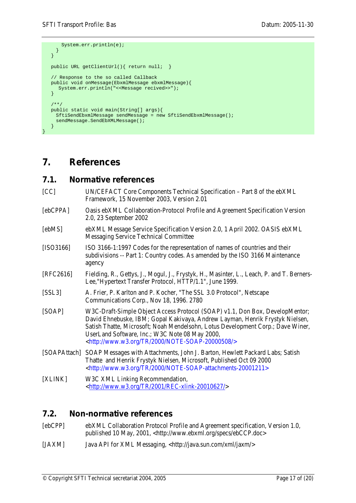```
System.err.println(e);
    }
   }
  public URL getClientUrl(){ return null; }
   // Response to the so called Callback
   public void onMessage(EbxmlMessage ebxmlMessage){
      System.err.println("<<Message recived>>");
 }
   /**/
   public static void main(String[] args){
    SftiSendEbxmlMessage sendMessage = new SftiSendEbxmlMessage();
    sendMessage.SendEbXMLMessage();
 }
```
## <span id="page-16-0"></span>**7. References**

}

# <span id="page-16-1"></span>*7.1. Normative references*

- [CC] UN/CEFACT Core Components Technical Specification Part 8 of the ebXML Framework, 15 November 2003, Version 2.01
- [ebCPPA] Oasis ebXML Collaboration-Protocol Profile and Agreement Specification Version 2.0, 23 September 2002
- [ebMS] ebXML Message Service Specification Version 2.0, 1 April 2002. OASIS ebXML Messaging Service Technical Committee
- [ISO3166] ISO 316[6-1:1997](http://www.iso.ch/iso/en/CatalogueDetailPage.CatalogueDetail?CSNUMBER=24591&ICS1=1&ICS2=140&ICS3=30) Codes for the representation of names of countries and their subdivisions -- Part 1: Country codes. As amended by the ISO 3166 Maintenance agency
- [RFC2616] Fielding, R., Gettys, J., Mogul, J., Frystyk, H., Masinter, L., Leach, P. and T. Berners-Lee,"Hypertext Transfer Protocol, HTTP/1.1", June 1999.
- [SSL3] A. Frier, P. Karlton and P. Kocher, "The SSL 3.0 Protocol", Netscape Communications Corp., Nov 18, 1996. 2780
- [SOAP] W3C-Draft-Simple Object Access Protocol (SOAP) v1.1, Don Box, DevelopMentor; David Ehnebuske, IBM; Gopal Kakivaya, Andrew Layman, Henrik Frystyk Nielsen, Satish Thatte, Microsoft; Noah Mendelsohn, Lotus Development Corp.; Dave Winer, UserLand Software, Inc.; W3C Note 08 May 2000, <http://www.w3.org/TR/2000/NOTE-SOAP-20000508/>
- [SOAPAttach] SOAP Messages with Attachments, John J. Barton, Hewlett Packard Labs; Satish Thatte and Henrik Frystyk Nielsen, Microsoft, Published Oct 09 2000 <http://www.w3.org/TR/2000/NOTE-SOAP-attachments-20001211>
- [XLINK] W3C XML Linking Recommendation, [<http://www.w3.org/TR/2001/REC-xlink-20010627/>](http://www.w3.org/TR/2001/REC-xlink-20010627/)

#### <span id="page-16-2"></span>*7.2. Non-normative references*

- [ebCPP] ebXML Collaboration Protocol Profile and Agreement specification, Version 1.0, published 10 May, 2001, [<http://www.ebxml.org/specs/ebCCP.doc>](http://www.ebxml.org/specs/ebCCP.doc)
- [JAXM] Java API for XML Messaging, <http://java.sun.com/xml/jaxm/>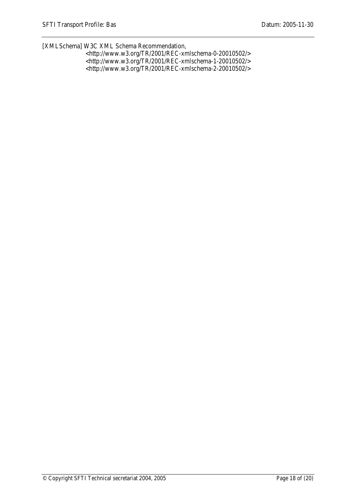[XMLSchema] W3C XML Schema Recommendation,

| $\langle \text{http://www.w3.org/TR/2001/REC-xmlschema-0-20010502}\rangle$ |
|----------------------------------------------------------------------------|
| $\langle \text{http://www.w3.org/TR/2001/REC-xmlschema-1-20010502}\rangle$ |
| $\langle \text{http://www.w3.org/TR/2001/REC-xmlschema-2-20010502}\rangle$ |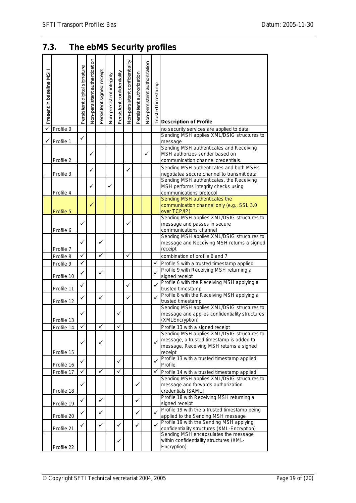# <span id="page-18-0"></span>*7.3. The ebMS Security profiles*

| Present in baseline MSH |            | Persistent digital signature | Non-persistent authentication | Persistent signed receipt | Non-persistent integrity | Persistent confidentiality | Non-persistent confidentiality | Persistent authorization | Non-persistent authorization | Trusted timestamp | <b>Description of Profile</b>                                                              |
|-------------------------|------------|------------------------------|-------------------------------|---------------------------|--------------------------|----------------------------|--------------------------------|--------------------------|------------------------------|-------------------|--------------------------------------------------------------------------------------------|
| ✓                       | Profile 0  |                              |                               |                           |                          |                            |                                |                          |                              |                   | no security services are applied to data                                                   |
|                         |            | ✓                            |                               |                           |                          |                            |                                |                          |                              |                   | Sending MSH applies XML/DSIG structures to                                                 |
| ✓                       | Profile 1  |                              |                               |                           |                          |                            |                                |                          |                              |                   | message<br>Sending MSH authenticates and Receiving                                         |
|                         | Profile 2  |                              | ✓                             |                           |                          |                            |                                |                          | ✓                            |                   | MSH authorizes sender based on<br>communication channel credentials.                       |
|                         |            |                              | ✓                             |                           |                          |                            | ✓                              |                          |                              |                   | Sending MSH authenticates and both MSHs                                                    |
|                         | Profile 3  |                              |                               |                           |                          |                            |                                |                          |                              |                   | negotiatea secure channel to transmit data<br>Sending MSH authenticates, the Receiving     |
|                         |            |                              | ✓                             |                           | ✓                        |                            |                                |                          |                              |                   | MSH performs integrity checks using                                                        |
|                         | Profile 4  |                              |                               |                           |                          |                            |                                |                          |                              |                   | communications protocol                                                                    |
|                         | Profile 5  |                              | ✓                             |                           |                          |                            |                                |                          |                              |                   | Sending MSH authenticates the<br>communication channel only (e.g., SSL 3.0<br>over TCP/IP) |
|                         |            |                              |                               |                           |                          |                            |                                |                          |                              |                   | Sending MSH applies XML/DSIG structures to                                                 |
|                         | Profile 6  | ✓                            |                               |                           |                          |                            | ✓                              |                          |                              |                   | message and passes in secure<br>communications channel                                     |
|                         |            |                              |                               |                           |                          |                            |                                |                          |                              |                   | Sending MSH applies XML/DSIG structures to                                                 |
|                         |            | ✓                            |                               | ✓                         |                          |                            |                                |                          |                              |                   | message and Receiving MSH returns a signed                                                 |
|                         | Profile 7  |                              |                               |                           |                          |                            |                                |                          |                              |                   | receipt                                                                                    |
|                         | Profile 8  | ✓                            |                               | ✓                         |                          |                            | ✓                              |                          |                              |                   | combination of profile 6 and 7                                                             |
|                         | Profile 9  | ✓                            |                               |                           |                          |                            |                                |                          |                              | ✓                 | Profile 5 with a trusted timestamp applied                                                 |
|                         | Profile 10 | ✓                            |                               | ✓                         |                          |                            |                                |                          |                              |                   | Profile 9 with Receiving MSH returning a<br>signed receipt                                 |
|                         |            |                              |                               |                           |                          |                            |                                |                          |                              |                   | Profile 6 with the Receiving MSH applying a                                                |
|                         | Profile 11 | ✓                            |                               |                           |                          |                            | ✓                              |                          |                              | ✓                 | trusted timestamp                                                                          |
|                         | Profile 12 | ✓                            |                               | ✓                         |                          |                            | ✓                              |                          |                              |                   | Profile 8 with the Receiving MSH applying a<br>trusted timestamp                           |
|                         |            |                              |                               |                           |                          |                            |                                |                          |                              |                   | Sending MSH applies XML/DSIG structures to                                                 |
|                         |            | ✓                            |                               |                           |                          |                            |                                |                          |                              |                   | message and applies confidentiality structures                                             |
|                         | Profile 13 |                              |                               |                           |                          |                            |                                |                          |                              |                   | (XMLEncryption)                                                                            |
|                         | Profile 14 | ✓                            |                               | ✓                         |                          | ✓                          |                                |                          |                              |                   | Profile 13 with a signed receipt                                                           |
|                         |            |                              |                               |                           |                          |                            |                                |                          |                              |                   | Sending MSH applies XML/DSIG structures to<br>message, a trusted timestamp is added to     |
|                         |            | ✓                            |                               | ✓                         |                          |                            |                                |                          |                              |                   | message, Receiving MSH returns a signed                                                    |
|                         | Profile 15 |                              |                               |                           |                          |                            |                                |                          |                              |                   | receipt                                                                                    |
|                         | Profile 16 | ✓                            |                               |                           |                          | ✓                          |                                |                          |                              | ✓                 | Profile 13 with a trusted timestamp applied<br>Profile                                     |
|                         | Profile 17 | ✓                            |                               | ✓                         |                          | ✓                          |                                |                          |                              | ✓                 | Profile 14 with a trusted timestamp applied                                                |
|                         |            |                              |                               |                           |                          |                            |                                |                          |                              |                   | Sending MSH applies XML/DSIG structures to                                                 |
|                         |            | ✓                            |                               |                           |                          |                            |                                | ✓                        |                              |                   | message and forwards authorization                                                         |
|                         | Profile 18 |                              |                               |                           |                          |                            |                                |                          |                              |                   | credentials [SAML]<br>Profile 18 with Receiving MSH returning a                            |
|                         | Profile 19 | ✓                            |                               | ✓                         |                          |                            |                                | ✓                        |                              |                   | signed receipt                                                                             |
|                         |            | ✓                            |                               | ✓                         |                          |                            |                                | ✓                        |                              | ✓                 | Profile 19 with the a trusted timestamp being                                              |
|                         | Profile 20 |                              |                               |                           |                          |                            |                                |                          |                              |                   | applied to the Sending MSH message                                                         |
|                         | Profile 21 | ✓                            |                               | ✓                         |                          | ✓                          |                                | ✓                        |                              |                   | Profile 19 with the Sending MSH applying<br>confidentiality structures (XML-Encryption)    |
|                         |            |                              |                               |                           |                          |                            |                                |                          |                              |                   | Sending MSH encapsulates the message<br>within confidentiality structures (XML-            |
|                         | Profile 22 |                              |                               |                           |                          |                            |                                |                          |                              |                   | Encryption)                                                                                |